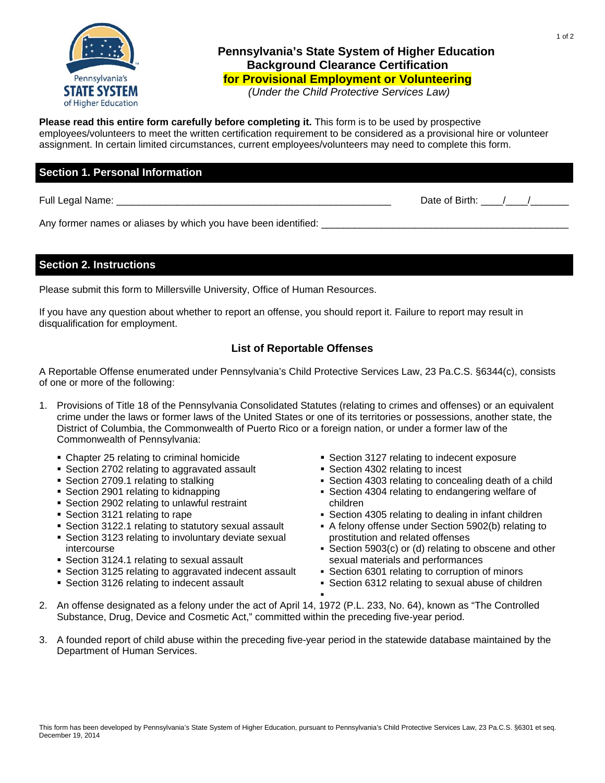

# **Pennsylvania's State System of Higher Education Background Clearance Certification for Provisional Employment or Volunteering**

 *(Under the Child Protective Services Law)* 

**Please read this entire form carefully before completing it.** This form is to be used by prospective

employees/volunteers to meet the written certification requirement to be considered as a provisional hire or volunteer assignment. In certain limited circumstances, current employees/volunteers may need to complete this form.

## **Section 1. Personal Information**

Full Legal Name:  $\Box$ 

Any former names or aliases by which you have been identified: \_\_\_\_\_\_\_\_\_\_\_\_\_\_\_\_\_

#### **Section 2. Instructions**

Please submit this form to Millersville University, Office of Human Resources.

If you have any question about whether to report an offense, you should report it. Failure to report may result in disqualification for employment.

## **List of Reportable Offenses**

A Reportable Offense enumerated under Pennsylvania's Child Protective Services Law, 23 Pa.C.S. §6344(c), consists of one or more of the following:

- 1. Provisions of Title 18 of the Pennsylvania Consolidated Statutes (relating to crimes and offenses) or an equivalent crime under the laws or former laws of the United States or one of its territories or possessions, another state, the District of Columbia, the Commonwealth of Puerto Rico or a foreign nation, or under a former law of the Commonwealth of Pennsylvania:
	- Chapter 25 relating to criminal homicide
	- Section 2702 relating to aggravated assault
	- Section 2709.1 relating to stalking
	- Section 2901 relating to kidnapping
	- Section 2902 relating to unlawful restraint
	- **Section 3121 relating to rape**
	- Section 3122.1 relating to statutory sexual assault
	- Section 3123 relating to involuntary deviate sexual intercourse
	- Section 3124.1 relating to sexual assault
	- Section 3125 relating to aggravated indecent assault
	- Section 3126 relating to indecent assault
- Section 3127 relating to indecent exposure
	- Section 4302 relating to incest
	- Section 4303 relating to concealing death of a child
	- Section 4304 relating to endangering welfare of children
	- Section 4305 relating to dealing in infant children
	- A felony offense under Section 5902(b) relating to prostitution and related offenses
	- Section 5903(c) or (d) relating to obscene and other sexual materials and performances
	- Section 6301 relating to corruption of minors
	- Section 6312 relating to sexual abuse of children
- 2. An offense designated as a felony under the act of April 14, 1972 (P.L. 233, No. 64), known as "The Controlled Substance, Drug, Device and Cosmetic Act," committed within the preceding five-year period.

.

3. A founded report of child abuse within the preceding five-year period in the statewide database maintained by the Department of Human Services.